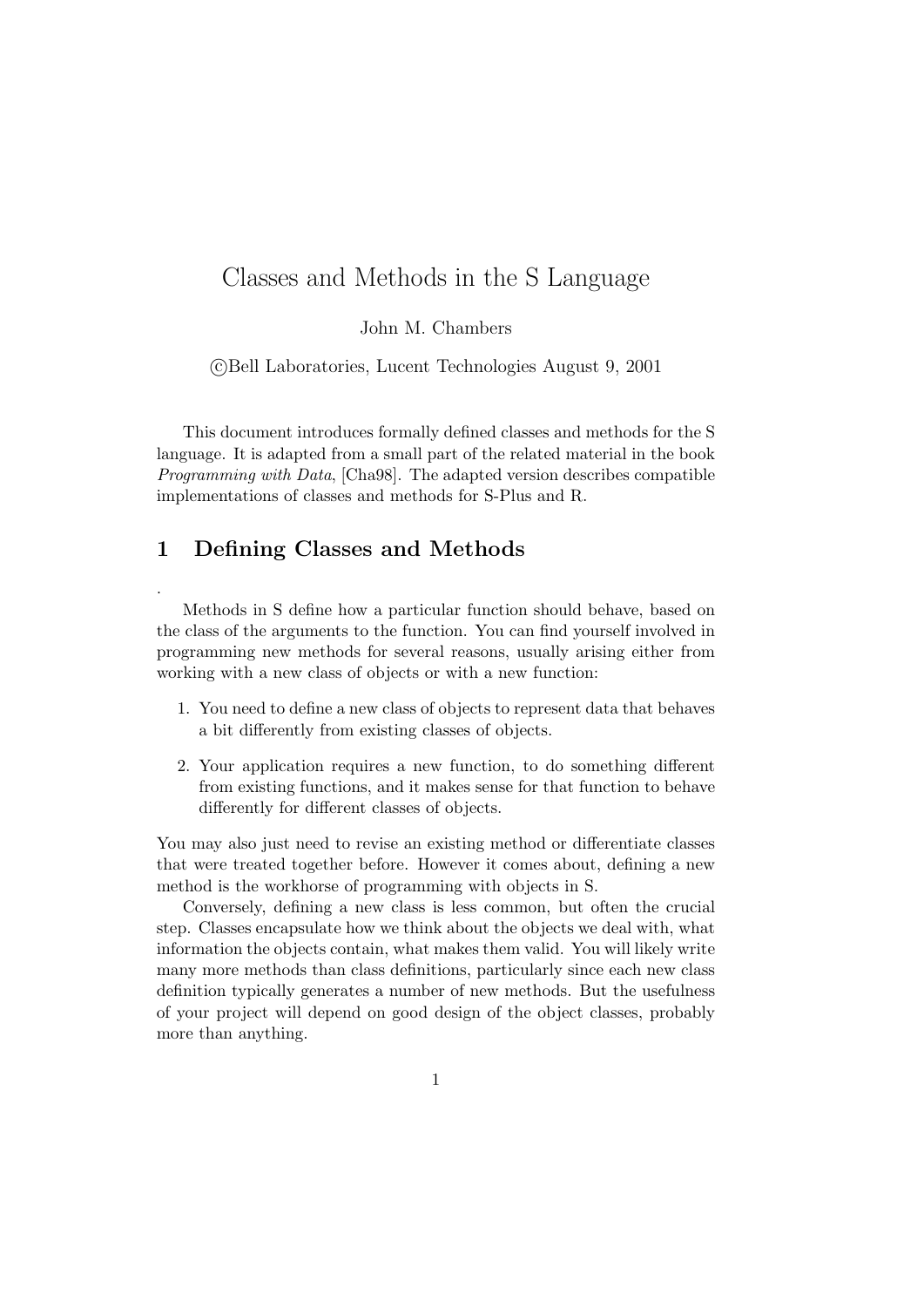# Classes and Methods in the S Language

John M. Chambers

c Bell Laboratories, Lucent Technologies August 9, 2001

This document introduces formally defined classes and methods for the S language. It is adapted from a small part of the related material in the book Programming with Data, [Cha98]. The adapted version describes compatible implementations of classes and methods for S-Plus and R.

### 1 Defining Classes and Methods

.

Methods in S define how a particular function should behave, based on the class of the arguments to the function. You can find yourself involved in programming new methods for several reasons, usually arising either from working with a new class of objects or with a new function:

- 1. You need to define a new class of objects to represent data that behaves a bit differently from existing classes of objects.
- 2. Your application requires a new function, to do something different from existing functions, and it makes sense for that function to behave differently for different classes of objects.

You may also just need to revise an existing method or differentiate classes that were treated together before. However it comes about, defining a new method is the workhorse of programming with objects in S.

Conversely, defining a new class is less common, but often the crucial step. Classes encapsulate how we think about the objects we deal with, what information the objects contain, what makes them valid. You will likely write many more methods than class definitions, particularly since each new class definition typically generates a number of new methods. But the usefulness of your project will depend on good design of the object classes, probably more than anything.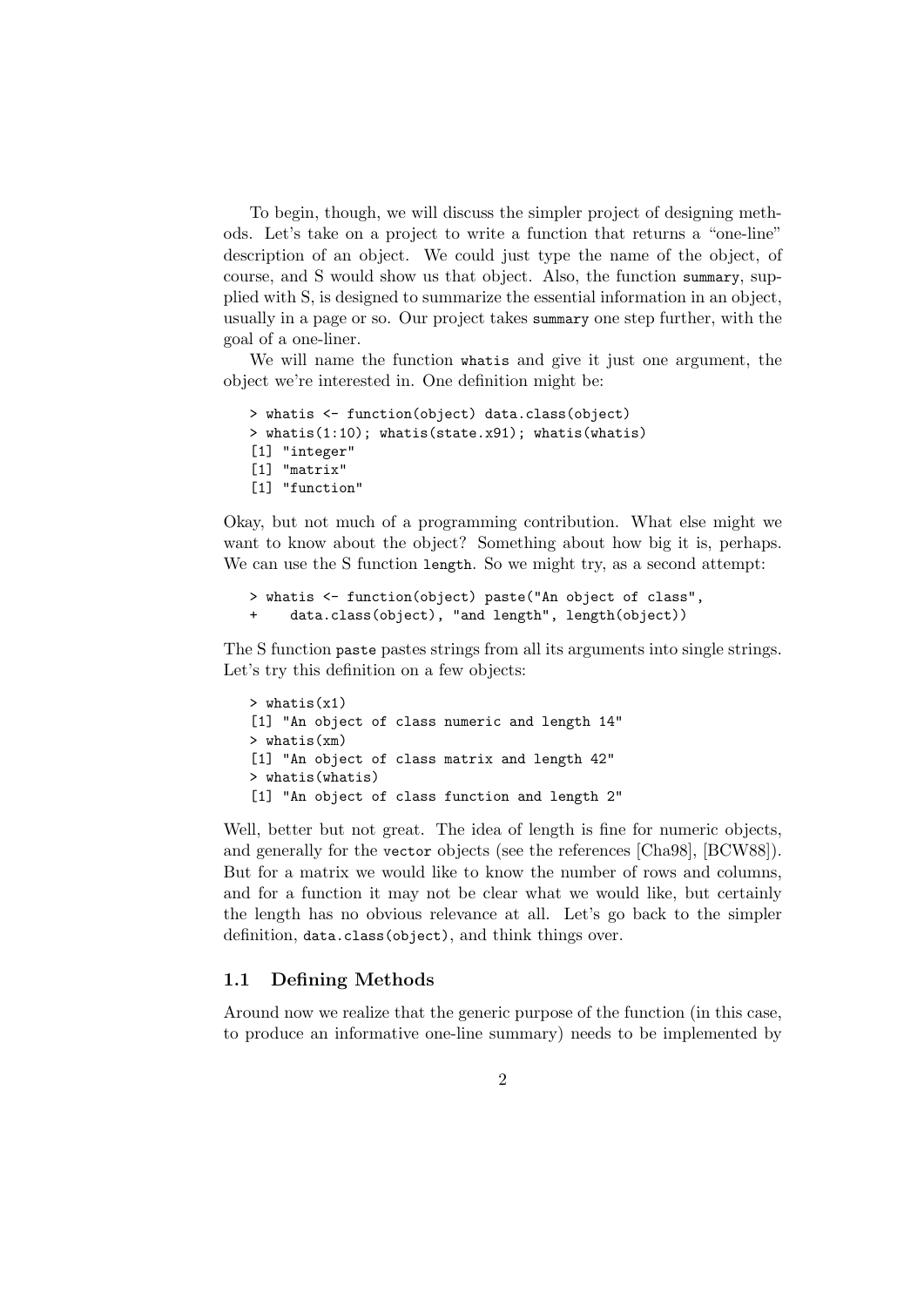To begin, though, we will discuss the simpler project of designing methods. Let's take on a project to write a function that returns a "one-line" description of an object. We could just type the name of the object, of course, and S would show us that object. Also, the function summary, supplied with S, is designed to summarize the essential information in an object, usually in a page or so. Our project takes summary one step further, with the goal of a one-liner.

We will name the function whatis and give it just one argument, the object we're interested in. One definition might be:

```
> whatis <- function(object) data.class(object)
> whatis(1:10); whatis(state.x91); whatis(whatis)
[1] "integer"
[1] "matrix"
[1] "function"
```
Okay, but not much of a programming contribution. What else might we want to know about the object? Something about how big it is, perhaps. We can use the S function length. So we might try, as a second attempt:

```
> whatis <- function(object) paste("An object of class",
+ data.class(object), "and length", length(object))
```
The S function paste pastes strings from all its arguments into single strings. Let's try this definition on a few objects:

```
> whatis(x1)
[1] "An object of class numeric and length 14"
> whatis(xm)
[1] "An object of class matrix and length 42"
> whatis(whatis)
[1] "An object of class function and length 2"
```
Well, better but not great. The idea of length is fine for numeric objects, and generally for the vector objects (see the references [Cha98], [BCW88]). But for a matrix we would like to know the number of rows and columns, and for a function it may not be clear what we would like, but certainly the length has no obvious relevance at all. Let's go back to the simpler definition, data.class(object), and think things over.

#### 1.1 Defining Methods

Around now we realize that the generic purpose of the function (in this case, to produce an informative one-line summary) needs to be implemented by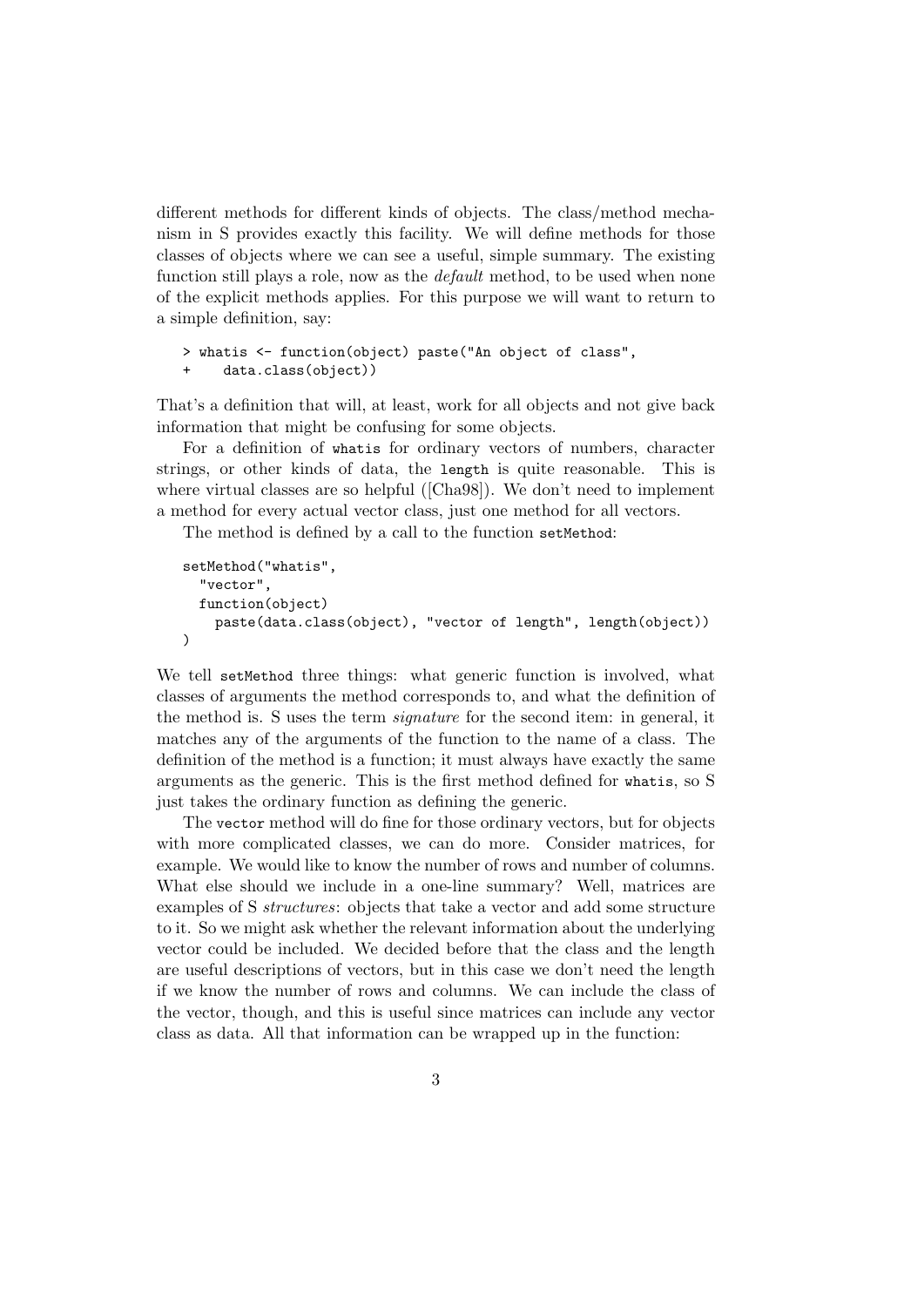different methods for different kinds of objects. The class/method mechanism in S provides exactly this facility. We will define methods for those classes of objects where we can see a useful, simple summary. The existing function still plays a role, now as the *default* method, to be used when none of the explicit methods applies. For this purpose we will want to return to a simple definition, say:

#### > whatis <- function(object) paste("An object of class", + data.class(object))

That's a definition that will, at least, work for all objects and not give back information that might be confusing for some objects.

For a definition of whatis for ordinary vectors of numbers, character strings, or other kinds of data, the length is quite reasonable. This is where virtual classes are so helpful ([Cha98]). We don't need to implement a method for every actual vector class, just one method for all vectors.

The method is defined by a call to the function setMethod:

```
setMethod("whatis",
  "vector",
  function(object)
    paste(data.class(object), "vector of length", length(object))
\lambda
```
We tell setMethod three things: what generic function is involved, what classes of arguments the method corresponds to, and what the definition of the method is. S uses the term signature for the second item: in general, it matches any of the arguments of the function to the name of a class. The definition of the method is a function; it must always have exactly the same arguments as the generic. This is the first method defined for whatis, so S just takes the ordinary function as defining the generic.

The vector method will do fine for those ordinary vectors, but for objects with more complicated classes, we can do more. Consider matrices, for example. We would like to know the number of rows and number of columns. What else should we include in a one-line summary? Well, matrices are examples of S structures: objects that take a vector and add some structure to it. So we might ask whether the relevant information about the underlying vector could be included. We decided before that the class and the length are useful descriptions of vectors, but in this case we don't need the length if we know the number of rows and columns. We can include the class of the vector, though, and this is useful since matrices can include any vector class as data. All that information can be wrapped up in the function: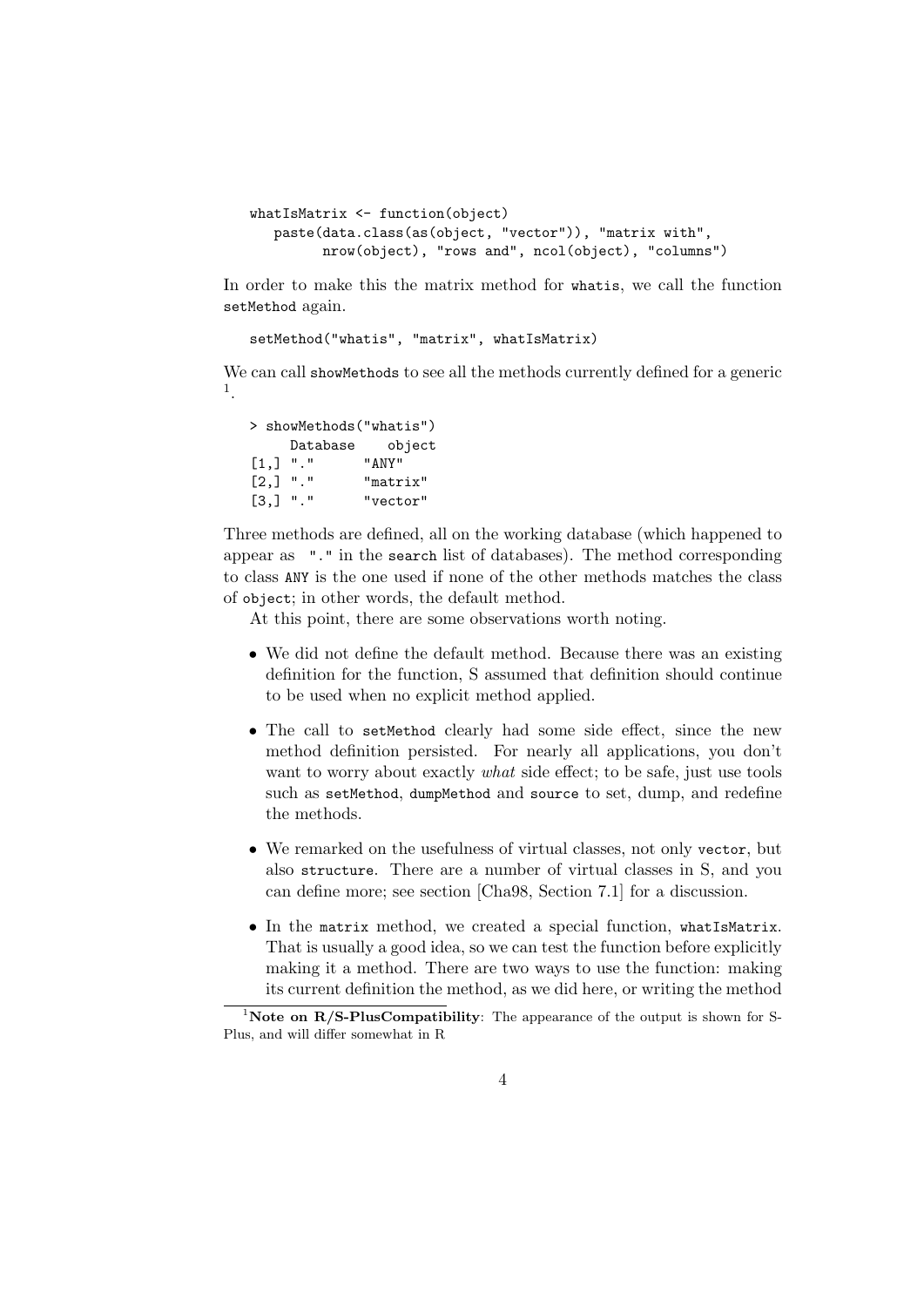```
whatIsMatrix <- function(object)
  paste(data.class(as(object, "vector")), "matrix with",
         nrow(object), "rows and", ncol(object), "columns")
```
In order to make this the matrix method for whatis, we call the function setMethod again.

```
setMethod("whatis", "matrix", whatIsMatrix)
```
We can call showMethods to see all the methods currently defined for a generic 1 .

```
> showMethods("whatis")
    Database object
[1,] "." "ANY"
[2,] "." "matrix"
[3,] "." "vector"
```
Three methods are defined, all on the working database (which happened to appear as "." in the search list of databases). The method corresponding to class ANY is the one used if none of the other methods matches the class of object; in other words, the default method.

At this point, there are some observations worth noting.

- We did not define the default method. Because there was an existing definition for the function, S assumed that definition should continue to be used when no explicit method applied.
- The call to setMethod clearly had some side effect, since the new method definition persisted. For nearly all applications, you don't want to worry about exactly *what* side effect; to be safe, just use tools such as setMethod, dumpMethod and source to set, dump, and redefine the methods.
- We remarked on the usefulness of virtual classes, not only vector, but also structure. There are a number of virtual classes in S, and you can define more; see section [Cha98, Section 7.1] for a discussion.
- In the matrix method, we created a special function, whatIsMatrix. That is usually a good idea, so we can test the function before explicitly making it a method. There are two ways to use the function: making its current definition the method, as we did here, or writing the method

<sup>&</sup>lt;sup>1</sup>Note on  $R/S$ -PlusCompatibility: The appearance of the output is shown for S-Plus, and will differ somewhat in R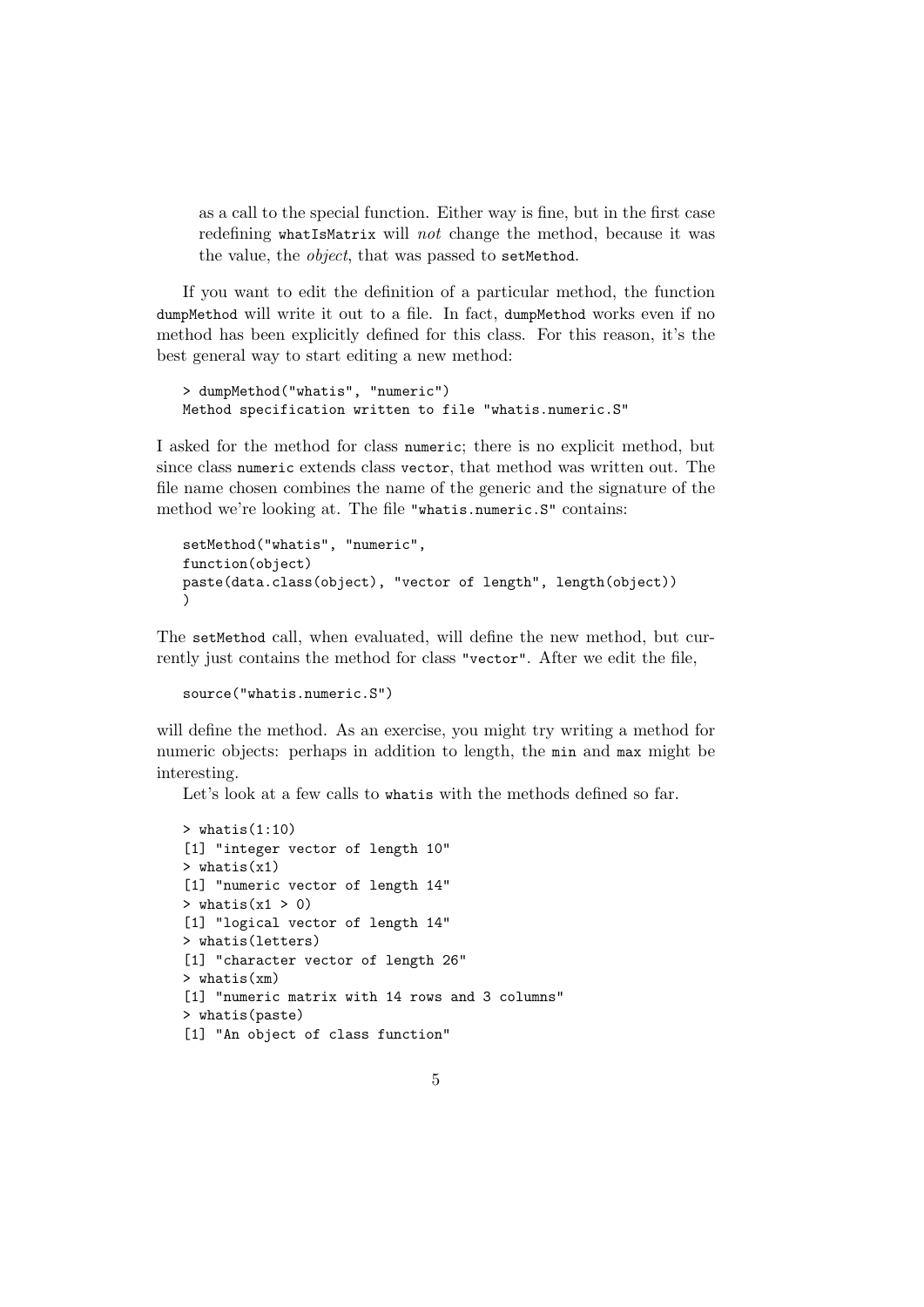as a call to the special function. Either way is fine, but in the first case redefining whatIsMatrix will *not* change the method, because it was the value, the object, that was passed to setMethod.

If you want to edit the definition of a particular method, the function dumpMethod will write it out to a file. In fact, dumpMethod works even if no method has been explicitly defined for this class. For this reason, it's the best general way to start editing a new method:

```
> dumpMethod("whatis", "numeric")
Method specification written to file "whatis.numeric.S"
```
I asked for the method for class numeric; there is no explicit method, but since class numeric extends class vector, that method was written out. The file name chosen combines the name of the generic and the signature of the method we're looking at. The file "whatis.numeric.S" contains:

```
setMethod("whatis", "numeric",
function(object)
paste(data.class(object), "vector of length", length(object))
)
```
The setMethod call, when evaluated, will define the new method, but currently just contains the method for class "vector". After we edit the file,

```
source("whatis.numeric.S")
```
will define the method. As an exercise, you might try writing a method for numeric objects: perhaps in addition to length, the min and max might be interesting.

Let's look at a few calls to what is with the methods defined so far.

```
> whatis(1:10)[1] "integer vector of length 10"
> whatis(x1)
[1] "numeric vector of length 14"
> whatis(x1 > 0)
[1] "logical vector of length 14"
> whatis(letters)
[1] "character vector of length 26"
> whatis(xm)
[1] "numeric matrix with 14 rows and 3 columns"
> whatis(paste)
[1] "An object of class function"
```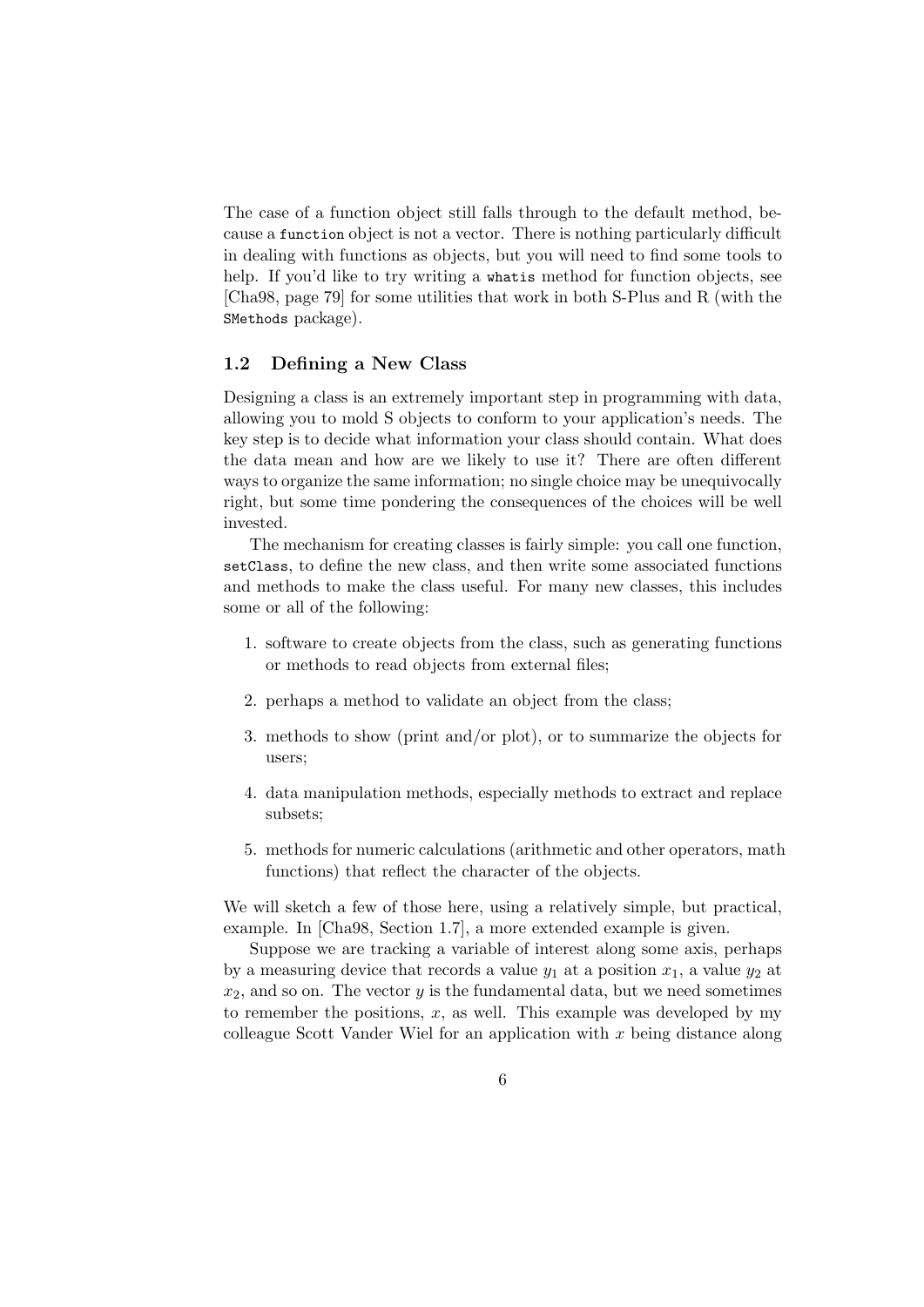The case of a function object still falls through to the default method, because a function object is not a vector. There is nothing particularly difficult in dealing with functions as objects, but you will need to find some tools to help. If you'd like to try writing a whatis method for function objects, see [Cha98, page 79] for some utilities that work in both S-Plus and R (with the SMethods package).

#### 1.2 Defining a New Class

Designing a class is an extremely important step in programming with data, allowing you to mold S objects to conform to your application's needs. The key step is to decide what information your class should contain. What does the data mean and how are we likely to use it? There are often different ways to organize the same information; no single choice may be unequivocally right, but some time pondering the consequences of the choices will be well invested.

The mechanism for creating classes is fairly simple: you call one function, setClass, to define the new class, and then write some associated functions and methods to make the class useful. For many new classes, this includes some or all of the following:

- 1. software to create objects from the class, such as generating functions or methods to read objects from external files;
- 2. perhaps a method to validate an object from the class;
- 3. methods to show (print and/or plot), or to summarize the objects for users;
- 4. data manipulation methods, especially methods to extract and replace subsets;
- 5. methods for numeric calculations (arithmetic and other operators, math functions) that reflect the character of the objects.

We will sketch a few of those here, using a relatively simple, but practical, example. In [Cha98, Section 1.7], a more extended example is given.

Suppose we are tracking a variable of interest along some axis, perhaps by a measuring device that records a value  $y_1$  at a position  $x_1$ , a value  $y_2$  at  $x_2$ , and so on. The vector  $y$  is the fundamental data, but we need sometimes to remember the positions,  $x$ , as well. This example was developed by my colleague Scott Vander Wiel for an application with  $x$  being distance along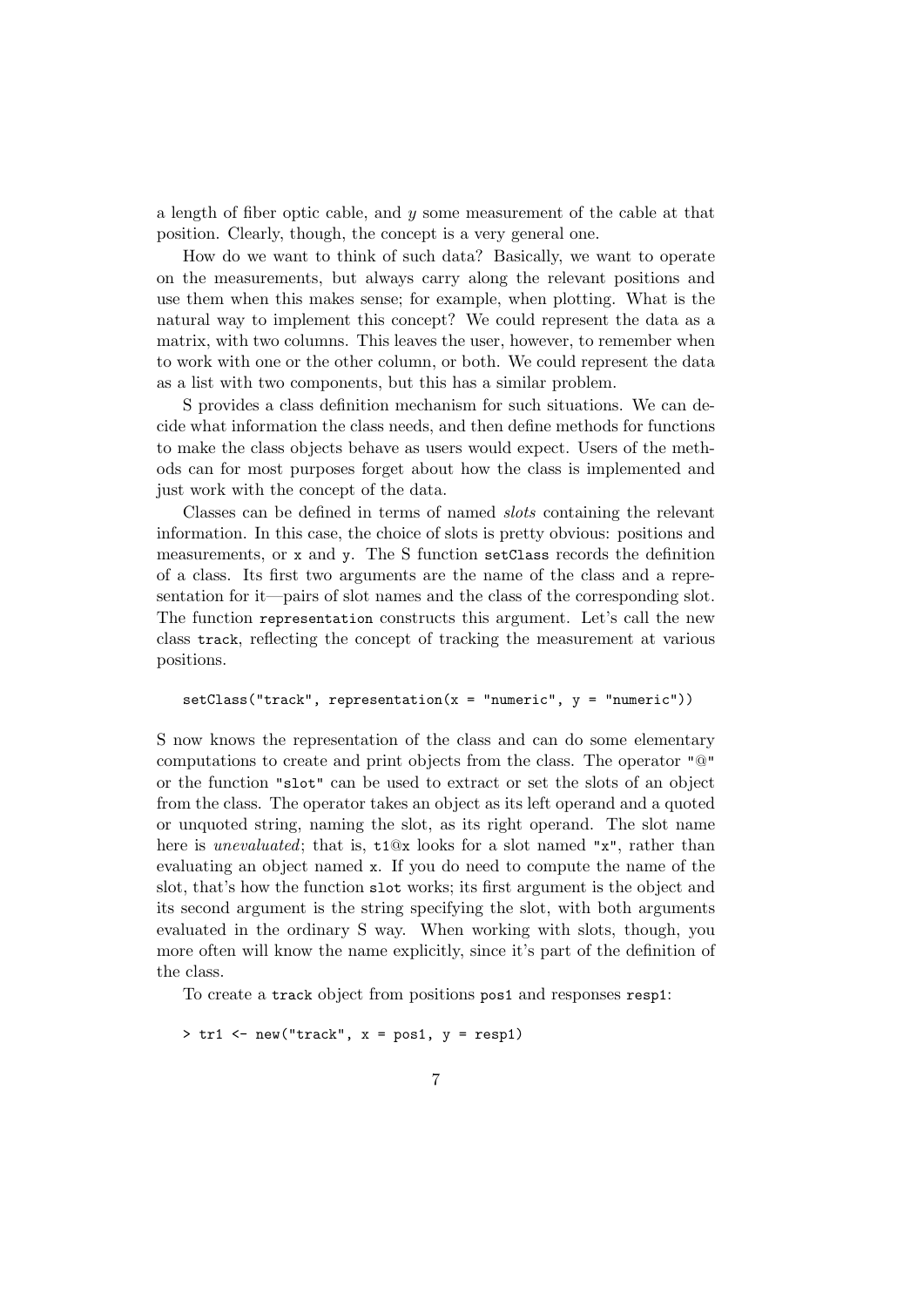a length of fiber optic cable, and  $y$  some measurement of the cable at that position. Clearly, though, the concept is a very general one.

How do we want to think of such data? Basically, we want to operate on the measurements, but always carry along the relevant positions and use them when this makes sense; for example, when plotting. What is the natural way to implement this concept? We could represent the data as a matrix, with two columns. This leaves the user, however, to remember when to work with one or the other column, or both. We could represent the data as a list with two components, but this has a similar problem.

S provides a class definition mechanism for such situations. We can decide what information the class needs, and then define methods for functions to make the class objects behave as users would expect. Users of the methods can for most purposes forget about how the class is implemented and just work with the concept of the data.

Classes can be defined in terms of named slots containing the relevant information. In this case, the choice of slots is pretty obvious: positions and measurements, or x and y. The S function setClass records the definition of a class. Its first two arguments are the name of the class and a representation for it—pairs of slot names and the class of the corresponding slot. The function representation constructs this argument. Let's call the new class track, reflecting the concept of tracking the measurement at various positions.

```
setClass("track", representation(x = "numeric", y = "numeric"))
```
S now knows the representation of the class and can do some elementary computations to create and print objects from the class. The operator "@" or the function "slot" can be used to extract or set the slots of an object from the class. The operator takes an object as its left operand and a quoted or unquoted string, naming the slot, as its right operand. The slot name here is *unevaluated*; that is,  $t1@x$  looks for a slot named "x", rather than evaluating an object named x. If you do need to compute the name of the slot, that's how the function slot works; its first argument is the object and its second argument is the string specifying the slot, with both arguments evaluated in the ordinary S way. When working with slots, though, you more often will know the name explicitly, since it's part of the definition of the class.

To create a track object from positions pos1 and responses resp1:

 $>$  tr1  $\le$  new ("track",  $x = pos1$ ,  $y = resp1$ )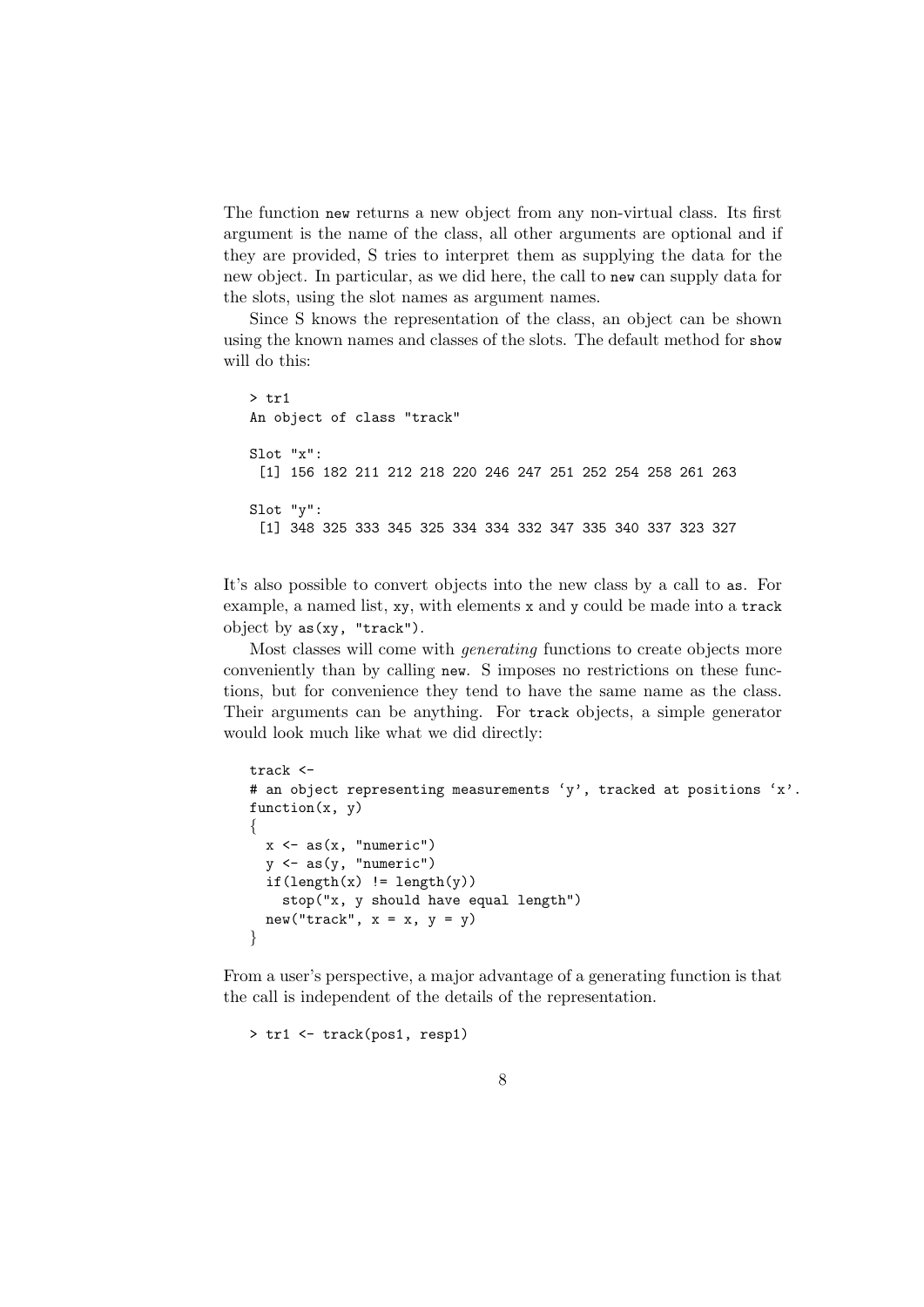The function new returns a new object from any non-virtual class. Its first argument is the name of the class, all other arguments are optional and if they are provided, S tries to interpret them as supplying the data for the new object. In particular, as we did here, the call to new can supply data for the slots, using the slot names as argument names.

Since S knows the representation of the class, an object can be shown using the known names and classes of the slots. The default method for show will do this:

> tr1 An object of class "track" Slot "x": [1] 156 182 211 212 218 220 246 247 251 252 254 258 261 263 Slot "y": [1] 348 325 333 345 325 334 334 332 347 335 340 337 323 327

It's also possible to convert objects into the new class by a call to as. For example, a named list, xy, with elements x and y could be made into a track object by as(xy, "track").

Most classes will come with generating functions to create objects more conveniently than by calling new. S imposes no restrictions on these functions, but for convenience they tend to have the same name as the class. Their arguments can be anything. For track objects, a simple generator would look much like what we did directly:

```
track <-
# an object representing measurements 'y', tracked at positions 'x'.
function(x, y){
  x \leftarrow as(x, "numeric")y \leftarrow as(y, "numeric")if(length(x) != length(y))stop("x, y should have equal length")
  new("track", x = x, y = y)
}
```
From a user's perspective, a major advantage of a generating function is that the call is independent of the details of the representation.

> tr1 <- track(pos1, resp1)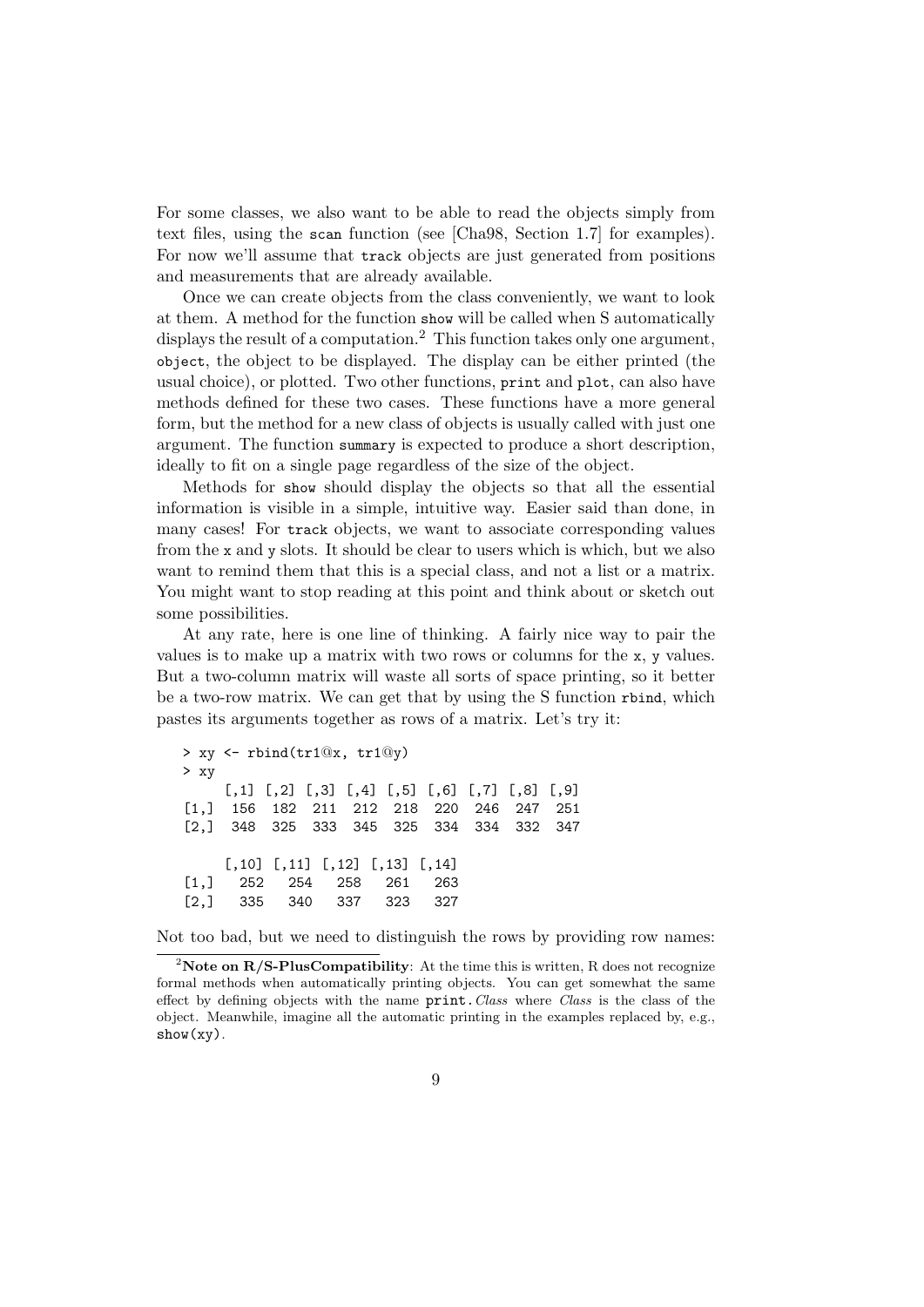For some classes, we also want to be able to read the objects simply from text files, using the scan function (see [Cha98, Section 1.7] for examples). For now we'll assume that track objects are just generated from positions and measurements that are already available.

Once we can create objects from the class conveniently, we want to look at them. A method for the function show will be called when S automatically displays the result of a computation.<sup>2</sup> This function takes only one argument, object, the object to be displayed. The display can be either printed (the usual choice), or plotted. Two other functions, print and plot, can also have methods defined for these two cases. These functions have a more general form, but the method for a new class of objects is usually called with just one argument. The function summary is expected to produce a short description, ideally to fit on a single page regardless of the size of the object.

Methods for show should display the objects so that all the essential information is visible in a simple, intuitive way. Easier said than done, in many cases! For track objects, we want to associate corresponding values from the x and y slots. It should be clear to users which is which, but we also want to remind them that this is a special class, and not a list or a matrix. You might want to stop reading at this point and think about or sketch out some possibilities.

At any rate, here is one line of thinking. A fairly nice way to pair the values is to make up a matrix with two rows or columns for the x, y values. But a two-column matrix will waste all sorts of space printing, so it better be a two-row matrix. We can get that by using the S function rbind, which pastes its arguments together as rows of a matrix. Let's try it:

> xy <- rbind(tr1@x, tr1@y) > xy  $[0,1]$   $[0,2]$   $[0,3]$   $[0,4]$   $[0,5]$   $[0,6]$   $[0,7]$   $[0,8]$   $[0,9]$ [1,] 156 182 211 212 218 220 246 247 251 [2,] 348 325 333 345 325 334 334 332 347 [,10] [,11] [,12] [,13] [,14] [1,] 252 254 258 261 263 [2,] 335 340 337 323 327

Not too bad, but we need to distinguish the rows by providing row names:

<sup>&</sup>lt;sup>2</sup>Note on R/S-PlusCompatibility: At the time this is written, R does not recognize formal methods when automatically printing objects. You can get somewhat the same effect by defining objects with the name print.Class where Class is the class of the object. Meanwhile, imagine all the automatic printing in the examples replaced by, e.g., show(xy).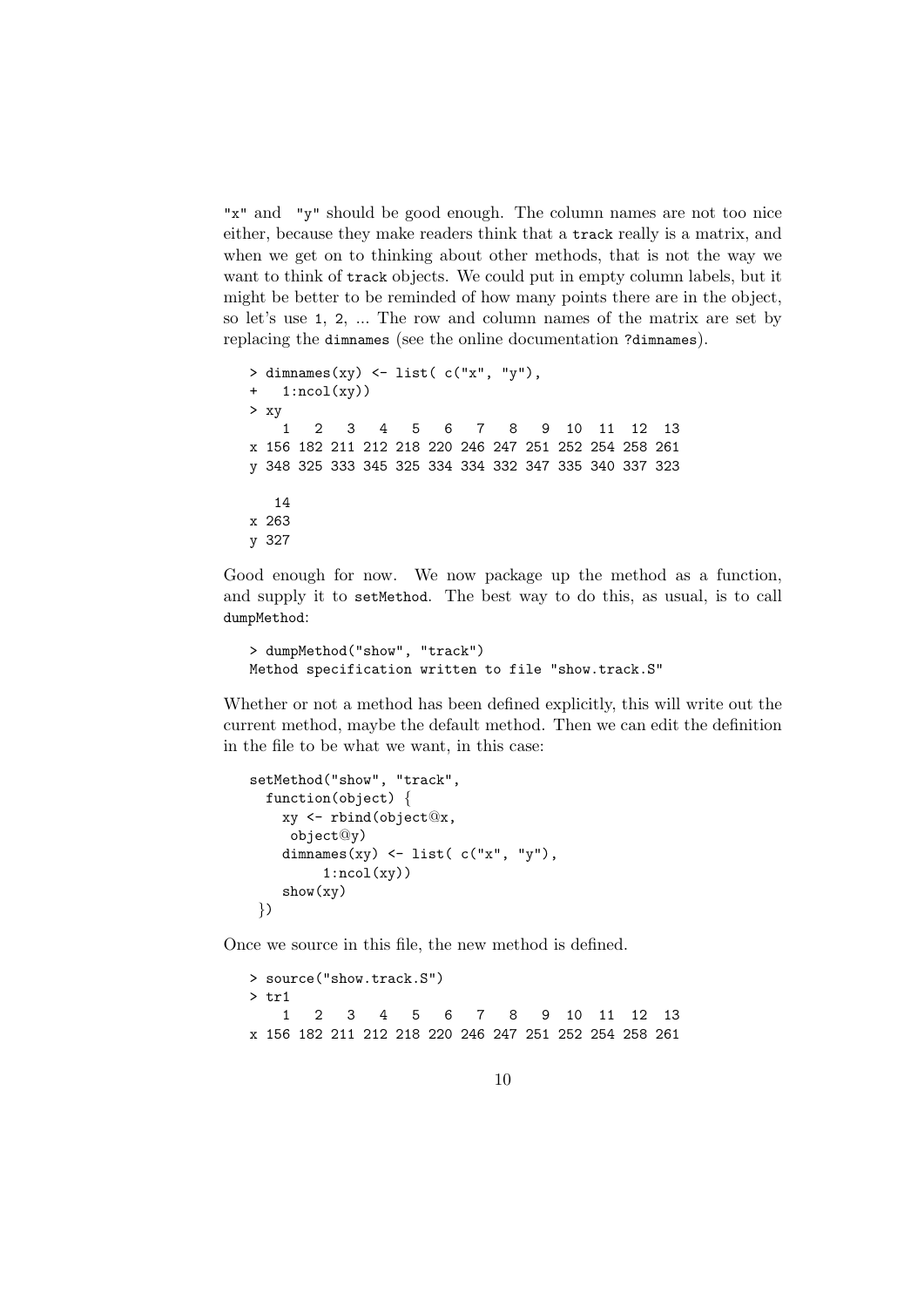"x" and "y" should be good enough. The column names are not too nice either, because they make readers think that a track really is a matrix, and when we get on to thinking about other methods, that is not the way we want to think of track objects. We could put in empty column labels, but it might be better to be reminded of how many points there are in the object, so let's use 1, 2, ... The row and column names of the matrix are set by replacing the dimnames (see the online documentation ?dimnames).

```
> dimnames(xy) <- list(c("x", "y"),
+ 1:ncol(xy))
> xy
   1 2 3 4 5 6 7 8 9 10 11 12 13
x 156 182 211 212 218 220 246 247 251 252 254 258 261
y 348 325 333 345 325 334 334 332 347 335 340 337 323
  14
x 263
y 327
```
Good enough for now. We now package up the method as a function, and supply it to setMethod. The best way to do this, as usual, is to call dumpMethod:

```
> dumpMethod("show", "track")
Method specification written to file "show.track.S"
```
Whether or not a method has been defined explicitly, this will write out the current method, maybe the default method. Then we can edit the definition in the file to be what we want, in this case:

```
setMethod("show", "track",
 function(object) {
   xy <- rbind(object@x,
    object@y)
   dimnames(xy) <- list(c("x", "y"),
         1:ncol(xy)show(xy)
 })
```
Once we source in this file, the new method is defined.

```
> source("show.track.S")
> tr1
   1 2 3 4 5 6 7 8 9 10 11 12 13
x 156 182 211 212 218 220 246 247 251 252 254 258 261
```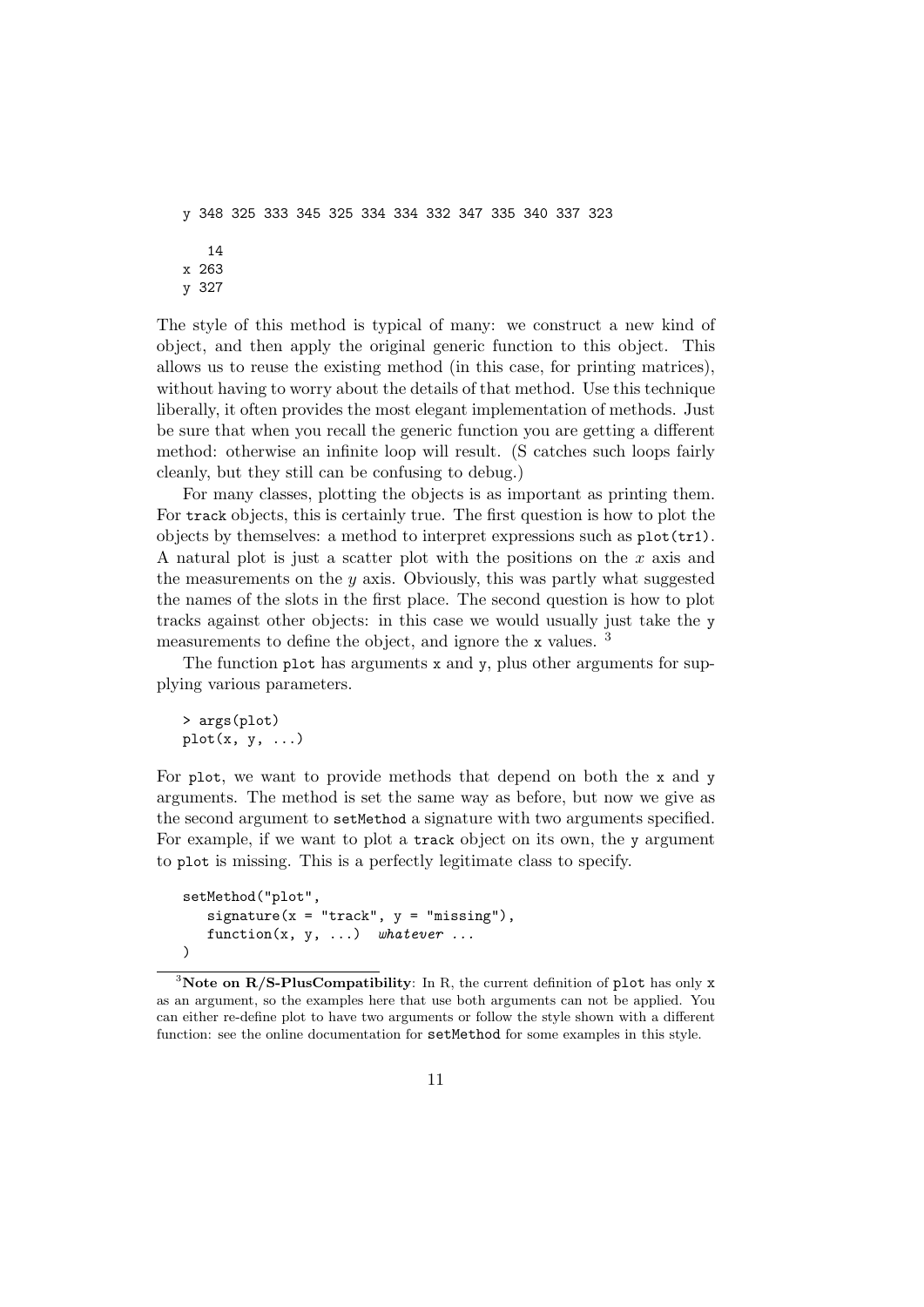y 348 325 333 345 325 334 334 332 347 335 340 337 323 14 x 263 y 327

The style of this method is typical of many: we construct a new kind of object, and then apply the original generic function to this object. This allows us to reuse the existing method (in this case, for printing matrices), without having to worry about the details of that method. Use this technique liberally, it often provides the most elegant implementation of methods. Just be sure that when you recall the generic function you are getting a different method: otherwise an infinite loop will result. (S catches such loops fairly cleanly, but they still can be confusing to debug.)

For many classes, plotting the objects is as important as printing them. For track objects, this is certainly true. The first question is how to plot the objects by themselves: a method to interpret expressions such as  $plot(tr1)$ . A natural plot is just a scatter plot with the positions on the  $x$  axis and the measurements on the  $y$  axis. Obviously, this was partly what suggested the names of the slots in the first place. The second question is how to plot tracks against other objects: in this case we would usually just take the y measurements to define the object, and ignore the x values.<sup>3</sup>

The function plot has arguments x and y, plus other arguments for supplying various parameters.

```
> args(plot)
plot(x, y, \ldots)
```
For plot, we want to provide methods that depend on both the x and y arguments. The method is set the same way as before, but now we give as the second argument to setMethod a signature with two arguments specified. For example, if we want to plot a track object on its own, the y argument to plot is missing. This is a perfectly legitimate class to specify.

```
setMethod("plot",
   signature(x = "track", y = "missing"),function(x, y, ...) whatever ...
)
```
 $3$ Note on R/S-PlusCompatibility: In R, the current definition of plot has only x as an argument, so the examples here that use both arguments can not be applied. You can either re-define plot to have two arguments or follow the style shown with a different function: see the online documentation for setMethod for some examples in this style.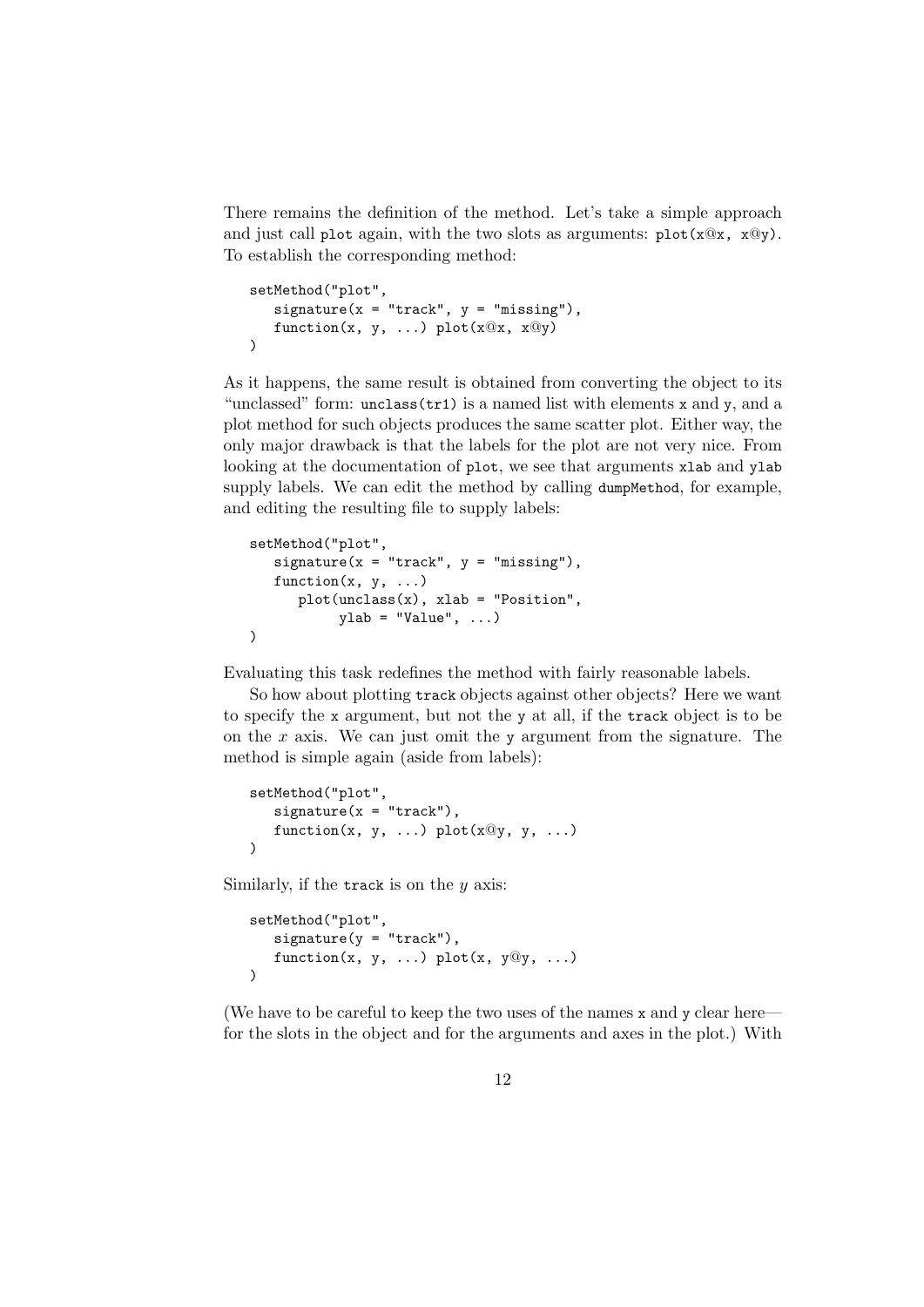There remains the definition of the method. Let's take a simple approach and just call plot again, with the two slots as arguments:  $plot(x@x, x@y)$ . To establish the corresponding method:

```
setMethod("plot",
   signature(x = "track", y = "missing"),function(x, y, ...) plot(x@x, x@y)
)
```
As it happens, the same result is obtained from converting the object to its "unclassed" form:  $unclass(tr1)$  is a named list with elements x and y, and a plot method for such objects produces the same scatter plot. Either way, the only major drawback is that the labels for the plot are not very nice. From looking at the documentation of plot, we see that arguments xlab and ylab supply labels. We can edit the method by calling dumpMethod, for example, and editing the resulting file to supply labels:

```
setMethod("plot",
   signature(x = "track", y = "missing"),function(x, y, ...)plot(unclass(x), xlab = "Position",ylab = "Value", ...))
```
Evaluating this task redefines the method with fairly reasonable labels.

So how about plotting track objects against other objects? Here we want to specify the x argument, but not the y at all, if the track object is to be on the  $x$  axis. We can just omit the y argument from the signature. The method is simple again (aside from labels):

```
setMethod("plot",
   signature(x = "track").function(x, y, ...) plot(x@y, y, ...)\lambda
```
Similarly, if the track is on the  $y$  axis:

```
setMethod("plot",
  signature(y = "track"),
   function(x, y, ...) plot(x, y@y, ...))
```
(We have to be careful to keep the two uses of the names x and y clear here for the slots in the object and for the arguments and axes in the plot.) With